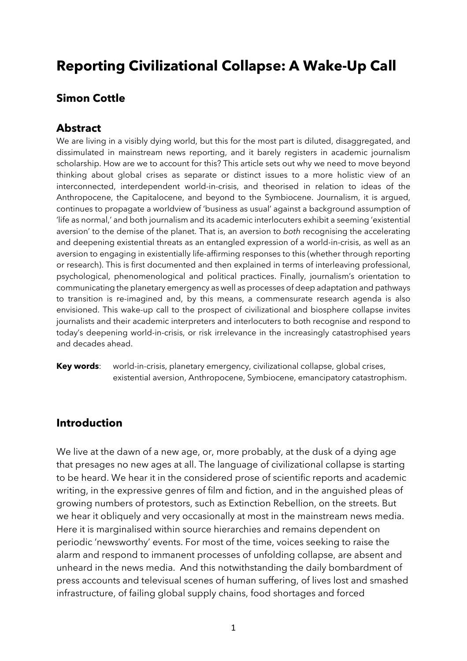# **Reporting Civilizational Collapse: A Wake-Up Call**

# **Simon Cottle**

# **Abstract**

We are living in a visibly dying world, but this for the most part is diluted, disaggregated, and dissimulated in mainstream news reporting, and it barely registers in academic journalism scholarship. How are we to account for this? This article sets out why we need to move beyond thinking about global crises as separate or distinct issues to a more holistic view of an interconnected, interdependent world-in-crisis, and theorised in relation to ideas of the Anthropocene, the Capitalocene, and beyond to the Symbiocene. Journalism, it is argued, continues to propagate a worldview of 'business as usual' against a background assumption of 'life as normal,' and both journalism and its academic interlocuters exhibit a seeming 'existential aversion' to the demise of the planet. That is, an aversion to *both* recognising the accelerating and deepening existential threats as an entangled expression of a world-in-crisis, as well as an aversion to engaging in existentially life-affirming responses to this (whether through reporting or research). This is first documented and then explained in terms of interleaving professional, psychological, phenomenological and political practices. Finally, journalism's orientation to communicating the planetary emergency as well as processes of deep adaptation and pathways to transition is re-imagined and, by this means, a commensurate research agenda is also envisioned. This wake-up call to the prospect of civilizational and biosphere collapse invites journalists and their academic interpreters and interlocuters to both recognise and respond to today's deepening world-in-crisis, or risk irrelevance in the increasingly catastrophised years and decades ahead.

**Key words**: world-in-crisis, planetary emergency, civilizational collapse, global crises, existential aversion, Anthropocene, Symbiocene, emancipatory catastrophism.

# **Introduction**

We live at the dawn of a new age, or, more probably, at the dusk of a dying age that presages no new ages at all. The language of civilizational collapse is starting to be heard. We hear it in the considered prose of scientific reports and academic writing, in the expressive genres of film and fiction, and in the anguished pleas of growing numbers of protestors, such as Extinction Rebellion, on the streets. But we hear it obliquely and very occasionally at most in the mainstream news media. Here it is marginalised within source hierarchies and remains dependent on periodic 'newsworthy' events. For most of the time, voices seeking to raise the alarm and respond to immanent processes of unfolding collapse, are absent and unheard in the news media. And this notwithstanding the daily bombardment of press accounts and televisual scenes of human suffering, of lives lost and smashed infrastructure, of failing global supply chains, food shortages and forced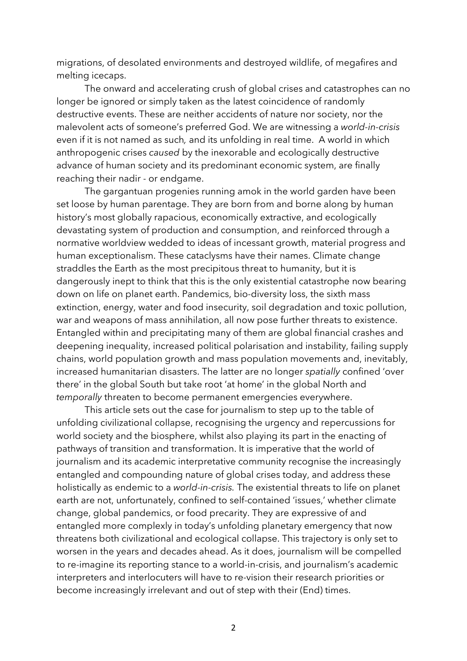migrations, of desolated environments and destroyed wildlife, of megafires and melting icecaps.

The onward and accelerating crush of global crises and catastrophes can no longer be ignored or simply taken as the latest coincidence of randomly destructive events. These are neither accidents of nature nor society, nor the malevolent acts of someone's preferred God. We are witnessing a *world-in-crisis* even if it is not named as such*,* and its unfolding in real time. A world in which anthropogenic crises *caused* by the inexorable and ecologically destructive advance of human society and its predominant economic system, are finally reaching their nadir - or endgame.

The gargantuan progenies running amok in the world garden have been set loose by human parentage. They are born from and borne along by human history's most globally rapacious, economically extractive, and ecologically devastating system of production and consumption, and reinforced through a normative worldview wedded to ideas of incessant growth, material progress and human exceptionalism. These cataclysms have their names. Climate change straddles the Earth as the most precipitous threat to humanity, but it is dangerously inept to think that this is the only existential catastrophe now bearing down on life on planet earth. Pandemics, bio-diversity loss, the sixth mass extinction, energy, water and food insecurity, soil degradation and toxic pollution, war and weapons of mass annihilation, all now pose further threats to existence. Entangled within and precipitating many of them are global financial crashes and deepening inequality, increased political polarisation and instability, failing supply chains, world population growth and mass population movements and, inevitably, increased humanitarian disasters. The latter are no longer *spatially* confined 'over there' in the global South but take root 'at home' in the global North and *temporally* threaten to become permanent emergencies everywhere.

This article sets out the case for journalism to step up to the table of unfolding civilizational collapse, recognising the urgency and repercussions for world society and the biosphere, whilst also playing its part in the enacting of pathways of transition and transformation. It is imperative that the world of journalism and its academic interpretative community recognise the increasingly entangled and compounding nature of global crises today, and address these holistically as endemic to a *world-in-crisis.* The existential threats to life on planet earth are not, unfortunately, confined to self-contained 'issues,' whether climate change, global pandemics, or food precarity. They are expressive of and entangled more complexly in today's unfolding planetary emergency that now threatens both civilizational and ecological collapse. This trajectory is only set to worsen in the years and decades ahead. As it does, journalism will be compelled to re-imagine its reporting stance to a world-in-crisis, and journalism's academic interpreters and interlocuters will have to re-vision their research priorities or become increasingly irrelevant and out of step with their (End) times.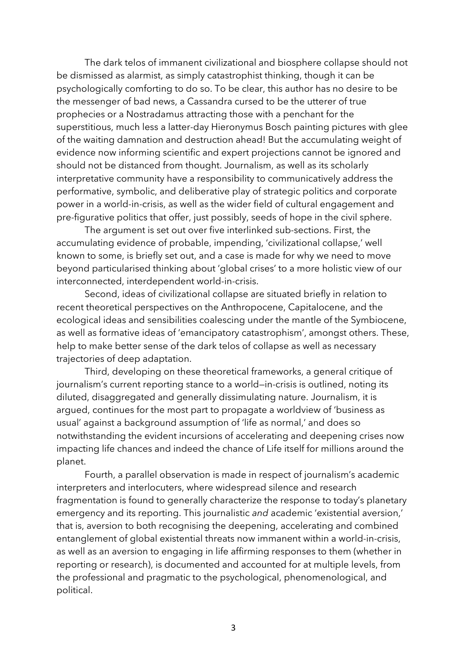The dark telos of immanent civilizational and biosphere collapse should not be dismissed as alarmist, as simply catastrophist thinking, though it can be psychologically comforting to do so. To be clear, this author has no desire to be the messenger of bad news, a Cassandra cursed to be the utterer of true prophecies or a Nostradamus attracting those with a penchant for the superstitious, much less a latter-day Hieronymus Bosch painting pictures with glee of the waiting damnation and destruction ahead! But the accumulating weight of evidence now informing scientific and expert projections cannot be ignored and should not be distanced from thought. Journalism, as well as its scholarly interpretative community have a responsibility to communicatively address the performative, symbolic, and deliberative play of strategic politics and corporate power in a world-in-crisis, as well as the wider field of cultural engagement and pre-figurative politics that offer, just possibly, seeds of hope in the civil sphere.

The argument is set out over five interlinked sub-sections. First, the accumulating evidence of probable, impending, 'civilizational collapse,' well known to some, is briefly set out, and a case is made for why we need to move beyond particularised thinking about 'global crises' to a more holistic view of our interconnected, interdependent world-in-crisis.

Second, ideas of civilizational collapse are situated briefly in relation to recent theoretical perspectives on the Anthropocene, Capitalocene, and the ecological ideas and sensibilities coalescing under the mantle of the Symbiocene, as well as formative ideas of 'emancipatory catastrophism', amongst others. These, help to make better sense of the dark telos of collapse as well as necessary trajectories of deep adaptation.

Third, developing on these theoretical frameworks, a general critique of journalism's current reporting stance to a world—in-crisis is outlined, noting its diluted, disaggregated and generally dissimulating nature. Journalism, it is argued, continues for the most part to propagate a worldview of 'business as usual' against a background assumption of 'life as normal,' and does so notwithstanding the evident incursions of accelerating and deepening crises now impacting life chances and indeed the chance of Life itself for millions around the planet.

Fourth, a parallel observation is made in respect of journalism's academic interpreters and interlocuters, where widespread silence and research fragmentation is found to generally characterize the response to today's planetary emergency and its reporting. This journalistic *and* academic 'existential aversion,' that is, aversion to both recognising the deepening, accelerating and combined entanglement of global existential threats now immanent within a world-in-crisis, as well as an aversion to engaging in life affirming responses to them (whether in reporting or research), is documented and accounted for at multiple levels, from the professional and pragmatic to the psychological, phenomenological, and political.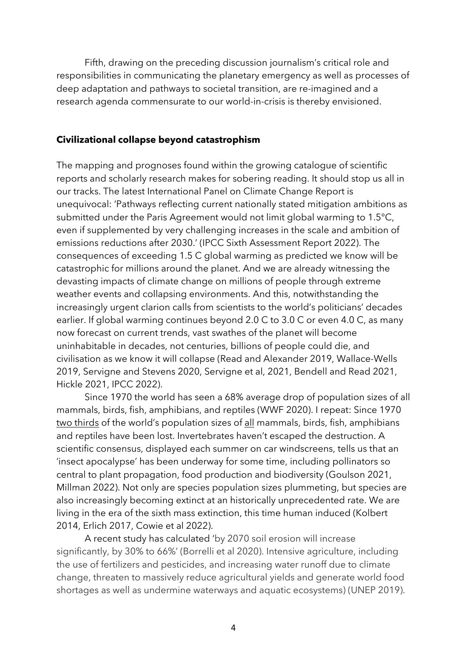Fifth, drawing on the preceding discussion journalism's critical role and responsibilities in communicating the planetary emergency as well as processes of deep adaptation and pathways to societal transition, are re-imagined and a research agenda commensurate to our world-in-crisis is thereby envisioned.

## **Civilizational collapse beyond catastrophism**

The mapping and prognoses found within the growing catalogue of scientific reports and scholarly research makes for sobering reading. It should stop us all in our tracks. The latest International Panel on Climate Change Report is unequivocal: 'Pathways reflecting current nationally stated mitigation ambitions as submitted under the Paris Agreement would not limit global warming to 1.5°C, even if supplemented by very challenging increases in the scale and ambition of emissions reductions after 2030.' (IPCC Sixth Assessment Report 2022). The consequences of exceeding 1.5 C global warming as predicted we know will be catastrophic for millions around the planet. And we are already witnessing the devasting impacts of climate change on millions of people through extreme weather events and collapsing environments. And this, notwithstanding the increasingly urgent clarion calls from scientists to the world's politicians' decades earlier. If global warming continues beyond 2.0 C to 3.0 C or even 4.0 C, as many now forecast on current trends, vast swathes of the planet will become uninhabitable in decades, not centuries, billions of people could die, and civilisation as we know it will collapse (Read and Alexander 2019, Wallace-Wells 2019, Servigne and Stevens 2020, Servigne et al, 2021, Bendell and Read 2021, Hickle 2021, IPCC 2022).

Since 1970 the world has seen a 68% average drop of population sizes of all mammals, birds, fish, amphibians, and reptiles (WWF 2020). I repeat: Since 1970 two thirds of the world's population sizes of all mammals, birds, fish, amphibians and reptiles have been lost. Invertebrates haven't escaped the destruction. A scientific consensus, displayed each summer on car windscreens, tells us that an 'insect apocalypse' has been underway for some time, including pollinators so central to plant propagation, food production and biodiversity (Goulson 2021, Millman 2022). Not only are species population sizes plummeting, but species are also increasingly becoming extinct at an historically unprecedented rate. We are living in the era of the sixth mass extinction, this time human induced (Kolbert 2014, Erlich 2017, Cowie et al 2022).

A recent study has calculated 'by 2070 soil erosion will increase significantly, by 30% to 66%' (Borrelli et al 2020). Intensive agriculture, including the use of fertilizers and pesticides, and increasing water runoff due to climate change, threaten to massively reduce agricultural yields and generate world food shortages as well as undermine waterways and aquatic ecosystems) (UNEP 2019).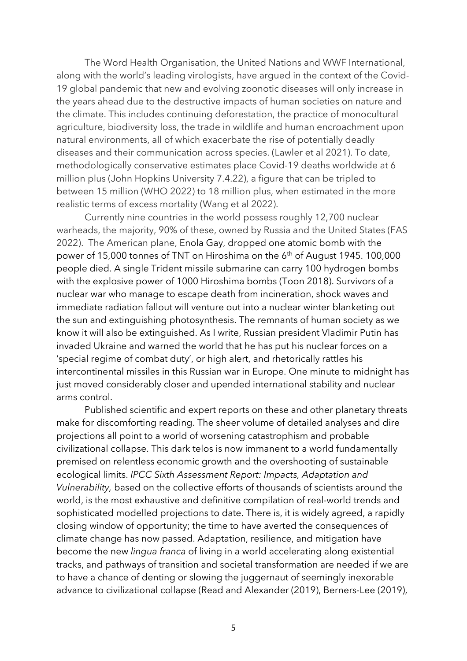The Word Health Organisation, the United Nations and WWF International, along with the world's leading virologists, have argued in the context of the Covid-19 global pandemic that new and evolving zoonotic diseases will only increase in the years ahead due to the destructive impacts of human societies on nature and the climate. This includes continuing deforestation, the practice of monocultural agriculture, biodiversity loss, the trade in wildlife and human encroachment upon natural environments, all of which exacerbate the rise of potentially deadly diseases and their communication across species. (Lawler et al 2021). To date, methodologically conservative estimates place Covid-19 deaths worldwide at 6 million plus (John Hopkins University 7.4.22), a figure that can be tripled to between 15 million (WHO 2022) to 18 million plus, when estimated in the more realistic terms of excess mortality (Wang et al 2022).

Currently nine countries in the world possess roughly 12,700 nuclear warheads, the majority, 90% of these, owned by Russia and the United States (FAS 2022). The American plane, Enola Gay, dropped one atomic bomb with the power of 15,000 tonnes of TNT on Hiroshima on the 6<sup>th</sup> of August 1945. 100,000 people died. A single Trident missile submarine can carry 100 hydrogen bombs with the explosive power of 1000 Hiroshima bombs (Toon 2018). Survivors of a nuclear war who manage to escape death from incineration, shock waves and immediate radiation fallout will venture out into a nuclear winter blanketing out the sun and extinguishing photosynthesis. The remnants of human society as we know it will also be extinguished. As I write, Russian president Vladimir Putin has invaded Ukraine and warned the world that he has put his nuclear forces on a 'special regime of combat duty', or high alert, and rhetorically rattles his intercontinental missiles in this Russian war in Europe. One minute to midnight has just moved considerably closer and upended international stability and nuclear arms control.

Published scientific and expert reports on these and other planetary threats make for discomforting reading. The sheer volume of detailed analyses and dire projections all point to a world of worsening catastrophism and probable civilizational collapse. This dark telos is now immanent to a world fundamentally premised on relentless economic growth and the overshooting of sustainable ecological limits. *IPCC Sixth Assessment Report: Impacts, Adaptation and Vulnerability,* based on the collective efforts of thousands of scientists around the world, is the most exhaustive and definitive compilation of real-world trends and sophisticated modelled projections to date. There is, it is widely agreed, a rapidly closing window of opportunity; the time to have averted the consequences of climate change has now passed. Adaptation, resilience, and mitigation have become the new *lingua franca* of living in a world accelerating along existential tracks, and pathways of transition and societal transformation are needed if we are to have a chance of denting or slowing the juggernaut of seemingly inexorable advance to civilizational collapse (Read and Alexander (2019), Berners-Lee (2019),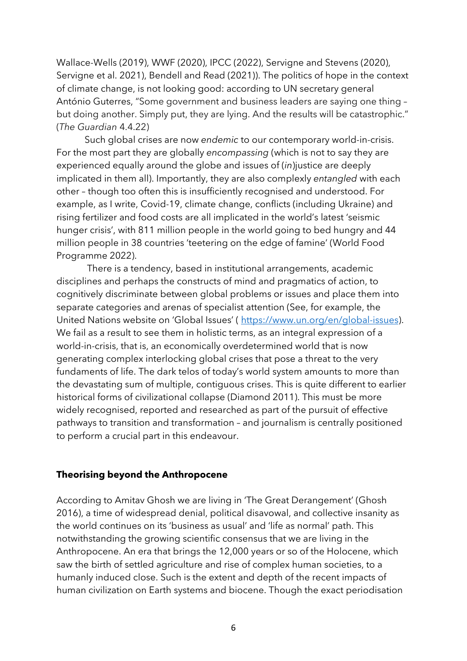Wallace-Wells (2019), WWF (2020), IPCC (2022), Servigne and Stevens (2020), Servigne et al. 2021), Bendell and Read (2021)). The politics of hope in the context of climate change, is not looking good: according to UN secretary general António Guterres, "Some government and business leaders are saying one thing – but doing another. Simply put, they are lying. And the results will be catastrophic." (*The Guardian* 4.4.22)

Such global crises are now *endemic* to our contemporary world-in-crisis. For the most part they are globally *encompassing* (which is not to say they are experienced equally around the globe and issues of (*in*)justice are deeply implicated in them all). Importantly, they are also complexly *entangled* with each other *–* though too often this is insufficiently recognised and understood. For example, as I write, Covid-19, climate change, conflicts (including Ukraine) and rising fertilizer and food costs are all implicated in the world's latest 'seismic hunger crisis', with 811 million people in the world going to bed hungry and 44 million people in 38 countries 'teetering on the edge of famine' (World Food Programme 2022).

There is a tendency, based in institutional arrangements, academic disciplines and perhaps the constructs of mind and pragmatics of action, to cognitively discriminate between global problems or issues and place them into separate categories and arenas of specialist attention (See, for example, the United Nations website on 'Global Issues' ( https://www.un.org/en/global-issues). We fail as a result to see them in holistic terms, as an integral expression of a world-in-crisis, that is, an economically overdetermined world that is now generating complex interlocking global crises that pose a threat to the very fundaments of life. The dark telos of today's world system amounts to more than the devastating sum of multiple, contiguous crises. This is quite different to earlier historical forms of civilizational collapse (Diamond 2011). This must be more widely recognised, reported and researched as part of the pursuit of effective pathways to transition and transformation – and journalism is centrally positioned to perform a crucial part in this endeavour.

# **Theorising beyond the Anthropocene**

According to Amitav Ghosh we are living in 'The Great Derangement' (Ghosh 2016), a time of widespread denial, political disavowal, and collective insanity as the world continues on its 'business as usual' and 'life as normal' path. This notwithstanding the growing scientific consensus that we are living in the Anthropocene. An era that brings the 12,000 years or so of the Holocene, which saw the birth of settled agriculture and rise of complex human societies, to a humanly induced close. Such is the extent and depth of the recent impacts of human civilization on Earth systems and biocene. Though the exact periodisation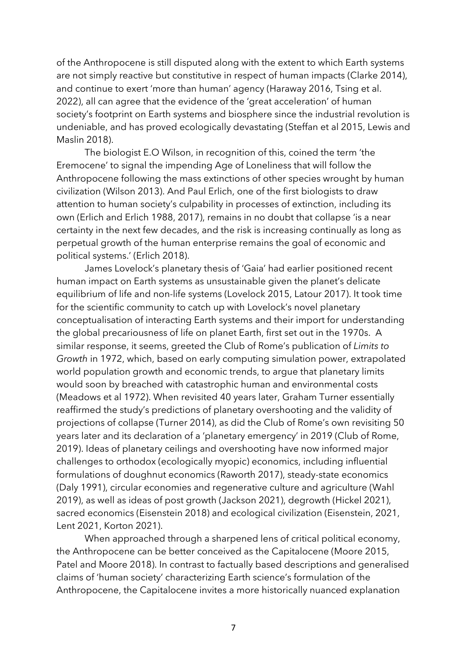of the Anthropocene is still disputed along with the extent to which Earth systems are not simply reactive but constitutive in respect of human impacts (Clarke 2014), and continue to exert 'more than human' agency (Haraway 2016, Tsing et al. 2022), all can agree that the evidence of the 'great acceleration' of human society's footprint on Earth systems and biosphere since the industrial revolution is undeniable, and has proved ecologically devastating (Steffan et al 2015, Lewis and Maslin 2018).

The biologist E.O Wilson, in recognition of this, coined the term 'the Eremocene' to signal the impending Age of Loneliness that will follow the Anthropocene following the mass extinctions of other species wrought by human civilization (Wilson 2013). And Paul Erlich, one of the first biologists to draw attention to human society's culpability in processes of extinction, including its own (Erlich and Erlich 1988, 2017), remains in no doubt that collapse 'is a near certainty in the next few decades, and the risk is increasing continually as long as perpetual growth of the human enterprise remains the goal of economic and political systems.' (Erlich 2018).

James Lovelock's planetary thesis of 'Gaia' had earlier positioned recent human impact on Earth systems as unsustainable given the planet's delicate equilibrium of life and non-life systems (Lovelock 2015, Latour 2017). It took time for the scientific community to catch up with Lovelock's novel planetary conceptualisation of interacting Earth systems and their import for understanding the global precariousness of life on planet Earth, first set out in the 1970s. A similar response, it seems, greeted the Club of Rome's publication of *Limits to Growth* in 1972, which, based on early computing simulation power, extrapolated world population growth and economic trends, to argue that planetary limits would soon by breached with catastrophic human and environmental costs (Meadows et al 1972). When revisited 40 years later, Graham Turner essentially reaffirmed the study's predictions of planetary overshooting and the validity of projections of collapse (Turner 2014), as did the Club of Rome's own revisiting 50 years later and its declaration of a 'planetary emergency' in 2019 (Club of Rome, 2019). Ideas of planetary ceilings and overshooting have now informed major challenges to orthodox (ecologically myopic) economics, including influential formulations of doughnut economics (Raworth 2017), steady-state economics (Daly 1991), circular economies and regenerative culture and agriculture (Wahl 2019), as well as ideas of post growth (Jackson 2021), degrowth (Hickel 2021), sacred economics (Eisenstein 2018) and ecological civilization (Eisenstein, 2021, Lent 2021, Korton 2021).

When approached through a sharpened lens of critical political economy, the Anthropocene can be better conceived as the Capitalocene (Moore 2015, Patel and Moore 2018). In contrast to factually based descriptions and generalised claims of 'human society' characterizing Earth science's formulation of the Anthropocene, the Capitalocene invites a more historically nuanced explanation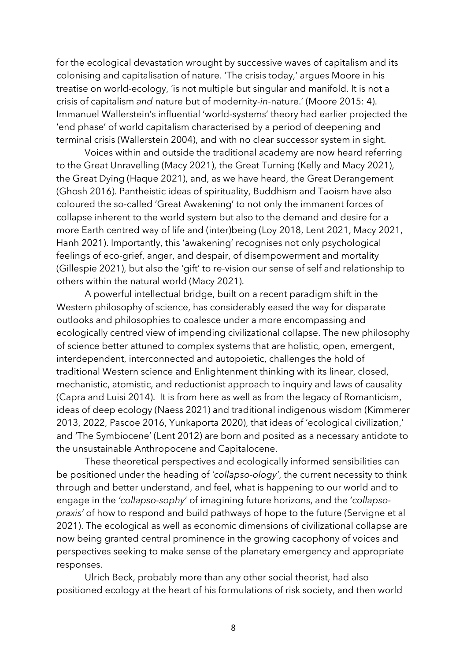for the ecological devastation wrought by successive waves of capitalism and its colonising and capitalisation of nature. 'The crisis today,' argues Moore in his treatise on world-ecology, 'is not multiple but singular and manifold. It is not a crisis of capitalism *and* nature but of modernity-*in*-nature.' (Moore 2015: 4). Immanuel Wallerstein's influential 'world-systems' theory had earlier projected the 'end phase' of world capitalism characterised by a period of deepening and terminal crisis (Wallerstein 2004), and with no clear successor system in sight.

Voices within and outside the traditional academy are now heard referring to the Great Unravelling (Macy 2021), the Great Turning (Kelly and Macy 2021), the Great Dying (Haque 2021), and, as we have heard, the Great Derangement (Ghosh 2016). Pantheistic ideas of spirituality, Buddhism and Taoism have also coloured the so-called 'Great Awakening' to not only the immanent forces of collapse inherent to the world system but also to the demand and desire for a more Earth centred way of life and (inter)being (Loy 2018, Lent 2021, Macy 2021, Hanh 2021). Importantly, this 'awakening' recognises not only psychological feelings of eco-grief, anger, and despair, of disempowerment and mortality (Gillespie 2021), but also the 'gift' to re-vision our sense of self and relationship to others within the natural world (Macy 2021).

A powerful intellectual bridge, built on a recent paradigm shift in the Western philosophy of science, has considerably eased the way for disparate outlooks and philosophies to coalesce under a more encompassing and ecologically centred view of impending civilizational collapse. The new philosophy of science better attuned to complex systems that are holistic, open, emergent, interdependent, interconnected and autopoietic, challenges the hold of traditional Western science and Enlightenment thinking with its linear, closed, mechanistic, atomistic, and reductionist approach to inquiry and laws of causality (Capra and Luisi 2014). It is from here as well as from the legacy of Romanticism, ideas of deep ecology (Naess 2021) and traditional indigenous wisdom (Kimmerer 2013, 2022, Pascoe 2016, Yunkaporta 2020), that ideas of 'ecological civilization,' and 'The Symbiocene' (Lent 2012) are born and posited as a necessary antidote to the unsustainable Anthropocene and Capitalocene.

These theoretical perspectives and ecologically informed sensibilities can be positioned under the heading of *'collapso-ology'*, the current necessity to think through and better understand, and feel, what is happening to our world and to engage in the *'collapso-sophy*' of imagining future horizons, and the '*collapsopraxis'* of how to respond and build pathways of hope to the future (Servigne et al 2021). The ecological as well as economic dimensions of civilizational collapse are now being granted central prominence in the growing cacophony of voices and perspectives seeking to make sense of the planetary emergency and appropriate responses.

Ulrich Beck, probably more than any other social theorist, had also positioned ecology at the heart of his formulations of risk society, and then world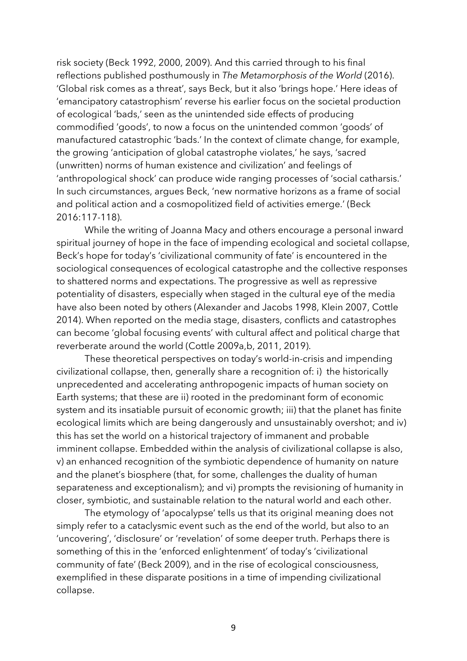risk society (Beck 1992, 2000, 2009). And this carried through to his final reflections published posthumously in *The Metamorphosis of the World* (2016). 'Global risk comes as a threat', says Beck, but it also 'brings hope.' Here ideas of 'emancipatory catastrophism' reverse his earlier focus on the societal production of ecological 'bads,' seen as the unintended side effects of producing commodified 'goods', to now a focus on the unintended common 'goods' of manufactured catastrophic 'bads.' In the context of climate change, for example, the growing 'anticipation of global catastrophe violates,' he says, 'sacred (unwritten) norms of human existence and civilization' and feelings of 'anthropological shock' can produce wide ranging processes of 'social catharsis.' In such circumstances, argues Beck, 'new normative horizons as a frame of social and political action and a cosmopolitized field of activities emerge.' (Beck 2016:117-118).

While the writing of Joanna Macy and others encourage a personal inward spiritual journey of hope in the face of impending ecological and societal collapse, Beck's hope for today's 'civilizational community of fate' is encountered in the sociological consequences of ecological catastrophe and the collective responses to shattered norms and expectations. The progressive as well as repressive potentiality of disasters, especially when staged in the cultural eye of the media have also been noted by others (Alexander and Jacobs 1998, Klein 2007, Cottle 2014). When reported on the media stage, disasters, conflicts and catastrophes can become 'global focusing events' with cultural affect and political charge that reverberate around the world (Cottle 2009a,b, 2011, 2019).

These theoretical perspectives on today's world-in-crisis and impending civilizational collapse, then, generally share a recognition of: i) the historically unprecedented and accelerating anthropogenic impacts of human society on Earth systems; that these are ii) rooted in the predominant form of economic system and its insatiable pursuit of economic growth; iii) that the planet has finite ecological limits which are being dangerously and unsustainably overshot; and iv) this has set the world on a historical trajectory of immanent and probable imminent collapse. Embedded within the analysis of civilizational collapse is also, v) an enhanced recognition of the symbiotic dependence of humanity on nature and the planet's biosphere (that, for some, challenges the duality of human separateness and exceptionalism); and vi) prompts the revisioning of humanity in closer, symbiotic, and sustainable relation to the natural world and each other.

The etymology of 'apocalypse' tells us that its original meaning does not simply refer to a cataclysmic event such as the end of the world, but also to an 'uncovering', 'disclosure' or 'revelation' of some deeper truth. Perhaps there is something of this in the 'enforced enlightenment' of today's 'civilizational community of fate' (Beck 2009), and in the rise of ecological consciousness, exemplified in these disparate positions in a time of impending civilizational collapse.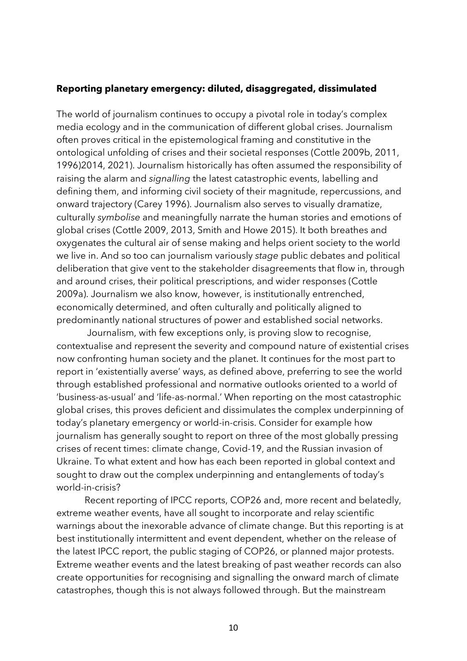## **Reporting planetary emergency: diluted, disaggregated, dissimulated**

The world of journalism continues to occupy a pivotal role in today's complex media ecology and in the communication of different global crises. Journalism often proves critical in the epistemological framing and constitutive in the ontological unfolding of crises and their societal responses (Cottle 2009b, 2011, 1996)2014, 2021). Journalism historically has often assumed the responsibility of raising the alarm and *signalling* the latest catastrophic events, labelling and defining them, and informing civil society of their magnitude, repercussions, and onward trajectory (Carey 1996). Journalism also serves to visually dramatize, culturally *symbolise* and meaningfully narrate the human stories and emotions of global crises (Cottle 2009, 2013, Smith and Howe 2015). It both breathes and oxygenates the cultural air of sense making and helps orient society to the world we live in. And so too can journalism variously *stage* public debates and political deliberation that give vent to the stakeholder disagreements that flow in, through and around crises, their political prescriptions, and wider responses (Cottle 2009a). Journalism we also know, however, is institutionally entrenched, economically determined, and often culturally and politically aligned to predominantly national structures of power and established social networks.

Journalism, with few exceptions only, is proving slow to recognise, contextualise and represent the severity and compound nature of existential crises now confronting human society and the planet. It continues for the most part to report in 'existentially averse' ways, as defined above, preferring to see the world through established professional and normative outlooks oriented to a world of 'business-as-usual' and 'life-as-normal.' When reporting on the most catastrophic global crises, this proves deficient and dissimulates the complex underpinning of today's planetary emergency or world-in-crisis. Consider for example how journalism has generally sought to report on three of the most globally pressing crises of recent times: climate change, Covid-19, and the Russian invasion of Ukraine. To what extent and how has each been reported in global context and sought to draw out the complex underpinning and entanglements of today's world-in-crisis?

Recent reporting of IPCC reports, COP26 and, more recent and belatedly, extreme weather events, have all sought to incorporate and relay scientific warnings about the inexorable advance of climate change. But this reporting is at best institutionally intermittent and event dependent, whether on the release of the latest IPCC report, the public staging of COP26, or planned major protests. Extreme weather events and the latest breaking of past weather records can also create opportunities for recognising and signalling the onward march of climate catastrophes, though this is not always followed through. But the mainstream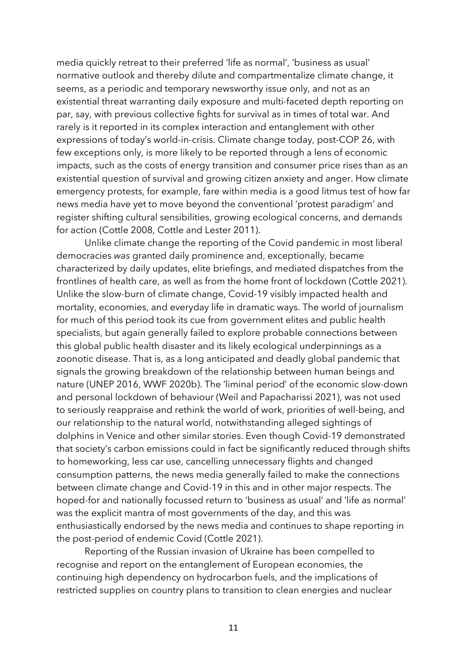media quickly retreat to their preferred 'life as normal', 'business as usual' normative outlook and thereby dilute and compartmentalize climate change, it seems, as a periodic and temporary newsworthy issue only, and not as an existential threat warranting daily exposure and multi-faceted depth reporting on par, say, with previous collective fights for survival as in times of total war. And rarely is it reported in its complex interaction and entanglement with other expressions of today's world-in-crisis. Climate change today, post-COP 26, with few exceptions only, is more likely to be reported through a lens of economic impacts, such as the costs of energy transition and consumer price rises than as an existential question of survival and growing citizen anxiety and anger. How climate emergency protests, for example, fare within media is a good litmus test of how far news media have yet to move beyond the conventional 'protest paradigm' and register shifting cultural sensibilities, growing ecological concerns, and demands for action (Cottle 2008, Cottle and Lester 2011).

Unlike climate change the reporting of the Covid pandemic in most liberal democracies *was* granted daily prominence and, exceptionally, became characterized by daily updates, elite briefings, and mediated dispatches from the frontlines of health care, as well as from the home front of lockdown (Cottle 2021). Unlike the slow-burn of climate change, Covid-19 visibly impacted health and mortality, economies, and everyday life in dramatic ways. The world of journalism for much of this period took its cue from government elites and public health specialists, but again generally failed to explore probable connections between this global public health disaster and its likely ecological underpinnings as a zoonotic disease. That is, as a long anticipated and deadly global pandemic that signals the growing breakdown of the relationship between human beings and nature (UNEP 2016, WWF 2020b). The 'liminal period' of the economic slow-down and personal lockdown of behaviour (Weil and Papacharissi 2021), was not used to seriously reappraise and rethink the world of work, priorities of well-being, and our relationship to the natural world, notwithstanding alleged sightings of dolphins in Venice and other similar stories. Even though Covid-19 demonstrated that society's carbon emissions could in fact be significantly reduced through shifts to homeworking, less car use, cancelling unnecessary flights and changed consumption patterns, the news media generally failed to make the connections between climate change and Covid-19 in this and in other major respects. The hoped-for and nationally focussed return to 'business as usual' and 'life as normal' was the explicit mantra of most governments of the day, and this was enthusiastically endorsed by the news media and continues to shape reporting in the post-period of endemic Covid (Cottle 2021).

Reporting of the Russian invasion of Ukraine has been compelled to recognise and report on the entanglement of European economies, the continuing high dependency on hydrocarbon fuels, and the implications of restricted supplies on country plans to transition to clean energies and nuclear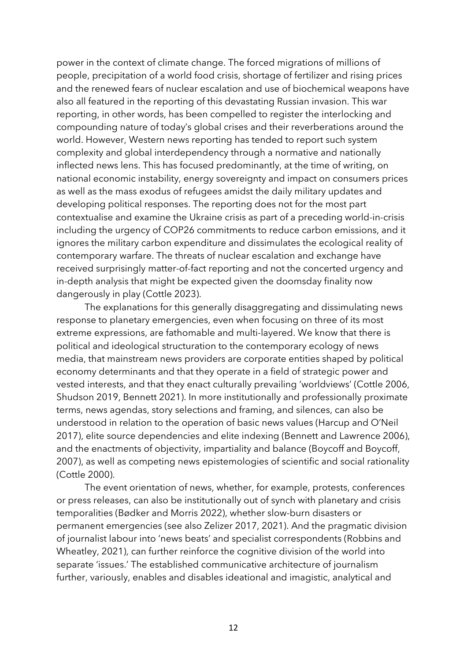power in the context of climate change. The forced migrations of millions of people, precipitation of a world food crisis, shortage of fertilizer and rising prices and the renewed fears of nuclear escalation and use of biochemical weapons have also all featured in the reporting of this devastating Russian invasion. This war reporting, in other words, has been compelled to register the interlocking and compounding nature of today's global crises and their reverberations around the world. However, Western news reporting has tended to report such system complexity and global interdependency through a normative and nationally inflected news lens. This has focused predominantly, at the time of writing, on national economic instability, energy sovereignty and impact on consumers prices as well as the mass exodus of refugees amidst the daily military updates and developing political responses. The reporting does not for the most part contextualise and examine the Ukraine crisis as part of a preceding world-in-crisis including the urgency of COP26 commitments to reduce carbon emissions, and it ignores the military carbon expenditure and dissimulates the ecological reality of contemporary warfare. The threats of nuclear escalation and exchange have received surprisingly matter-of-fact reporting and not the concerted urgency and in-depth analysis that might be expected given the doomsday finality now dangerously in play (Cottle 2023).

The explanations for this generally disaggregating and dissimulating news response to planetary emergencies, even when focusing on three of its most extreme expressions, are fathomable and multi-layered. We know that there is political and ideological structuration to the contemporary ecology of news media, that mainstream news providers are corporate entities shaped by political economy determinants and that they operate in a field of strategic power and vested interests, and that they enact culturally prevailing 'worldviews' (Cottle 2006, Shudson 2019, Bennett 2021). In more institutionally and professionally proximate terms, news agendas, story selections and framing, and silences, can also be understood in relation to the operation of basic news values (Harcup and O'Neil 2017), elite source dependencies and elite indexing (Bennett and Lawrence 2006), and the enactments of objectivity, impartiality and balance (Boycoff and Boycoff, 2007), as well as competing news epistemologies of scientific and social rationality (Cottle 2000).

The event orientation of news, whether, for example, protests, conferences or press releases, can also be institutionally out of synch with planetary and crisis temporalities (Bødker and Morris 2022), whether slow-burn disasters or permanent emergencies (see also Zelizer 2017, 2021). And the pragmatic division of journalist labour into 'news beats' and specialist correspondents (Robbins and Wheatley, 2021), can further reinforce the cognitive division of the world into separate 'issues.' The established communicative architecture of journalism further, variously, enables and disables ideational and imagistic, analytical and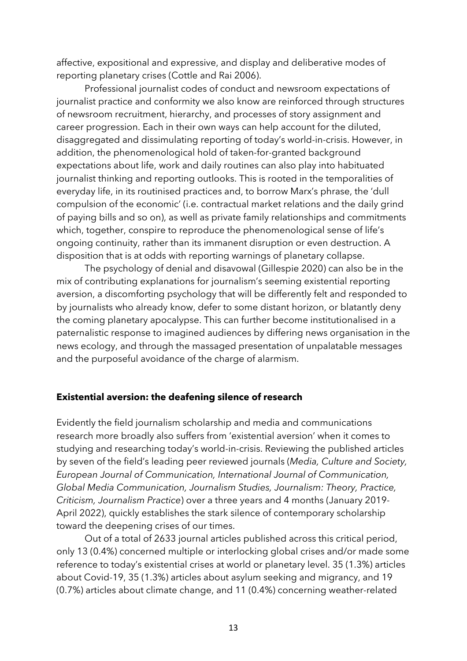affective, expositional and expressive, and display and deliberative modes of reporting planetary crises (Cottle and Rai 2006).

Professional journalist codes of conduct and newsroom expectations of journalist practice and conformity we also know are reinforced through structures of newsroom recruitment, hierarchy, and processes of story assignment and career progression. Each in their own ways can help account for the diluted, disaggregated and dissimulating reporting of today's world-in-crisis. However, in addition, the phenomenological hold of taken-for-granted background expectations about life, work and daily routines can also play into habituated journalist thinking and reporting outlooks. This is rooted in the temporalities of everyday life, in its routinised practices and, to borrow Marx's phrase, the 'dull compulsion of the economic' (i.e. contractual market relations and the daily grind of paying bills and so on), as well as private family relationships and commitments which, together, conspire to reproduce the phenomenological sense of life's ongoing continuity, rather than its immanent disruption or even destruction. A disposition that is at odds with reporting warnings of planetary collapse.

The psychology of denial and disavowal (Gillespie 2020) can also be in the mix of contributing explanations for journalism's seeming existential reporting aversion, a discomforting psychology that will be differently felt and responded to by journalists who already know, defer to some distant horizon, or blatantly deny the coming planetary apocalypse. This can further become institutionalised in a paternalistic response to imagined audiences by differing news organisation in the news ecology, and through the massaged presentation of unpalatable messages and the purposeful avoidance of the charge of alarmism.

## **Existential aversion: the deafening silence of research**

Evidently the field journalism scholarship and media and communications research more broadly also suffers from 'existential aversion' when it comes to studying and researching today's world-in-crisis. Reviewing the published articles by seven of the field's leading peer reviewed journals (*Media, Culture and Society, European Journal of Communication, International Journal of Communication, Global Media Communication, Journalism Studies, Journalism: Theory, Practice, Criticism, Journalism Practice*) over a three years and 4 months (January 2019- April 2022), quickly establishes the stark silence of contemporary scholarship toward the deepening crises of our times.

Out of a total of 2633 journal articles published across this critical period, only 13 (0.4%) concerned multiple or interlocking global crises and/or made some reference to today's existential crises at world or planetary level. 35 (1.3%) articles about Covid-19, 35 (1.3%) articles about asylum seeking and migrancy, and 19 (0.7%) articles about climate change, and 11 (0.4%) concerning weather-related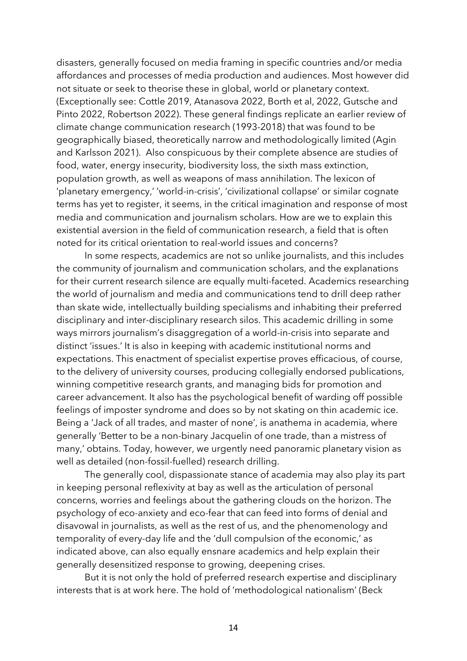disasters, generally focused on media framing in specific countries and/or media affordances and processes of media production and audiences. Most however did not situate or seek to theorise these in global, world or planetary context. (Exceptionally see: Cottle 2019, Atanasova 2022, Borth et al, 2022, Gutsche and Pinto 2022, Robertson 2022). These general findings replicate an earlier review of climate change communication research (1993-2018) that was found to be geographically biased, theoretically narrow and methodologically limited (Agin and Karlsson 2021). Also conspicuous by their complete absence are studies of food, water, energy insecurity, biodiversity loss, the sixth mass extinction, population growth, as well as weapons of mass annihilation. The lexicon of 'planetary emergency,' 'world-in-crisis', 'civilizational collapse' or similar cognate terms has yet to register, it seems, in the critical imagination and response of most media and communication and journalism scholars. How are we to explain this existential aversion in the field of communication research, a field that is often noted for its critical orientation to real-world issues and concerns?

In some respects, academics are not so unlike journalists, and this includes the community of journalism and communication scholars, and the explanations for their current research silence are equally multi-faceted. Academics researching the world of journalism and media and communications tend to drill deep rather than skate wide, intellectually building specialisms and inhabiting their preferred disciplinary and inter-disciplinary research silos. This academic drilling in some ways mirrors journalism's disaggregation of a world-in-crisis into separate and distinct 'issues.' It is also in keeping with academic institutional norms and expectations. This enactment of specialist expertise proves efficacious, of course, to the delivery of university courses, producing collegially endorsed publications, winning competitive research grants, and managing bids for promotion and career advancement. It also has the psychological benefit of warding off possible feelings of imposter syndrome and does so by not skating on thin academic ice. Being a 'Jack of all trades, and master of none', is anathema in academia, where generally 'Better to be a non-binary Jacquelin of one trade, than a mistress of many,' obtains. Today, however, we urgently need panoramic planetary vision as well as detailed (non-fossil-fuelled) research drilling.

The generally cool, dispassionate stance of academia may also play its part in keeping personal reflexivity at bay as well as the articulation of personal concerns, worries and feelings about the gathering clouds on the horizon. The psychology of eco-anxiety and eco-fear that can feed into forms of denial and disavowal in journalists, as well as the rest of us, and the phenomenology and temporality of every-day life and the 'dull compulsion of the economic,' as indicated above, can also equally ensnare academics and help explain their generally desensitized response to growing, deepening crises.

But it is not only the hold of preferred research expertise and disciplinary interests that is at work here. The hold of 'methodological nationalism' (Beck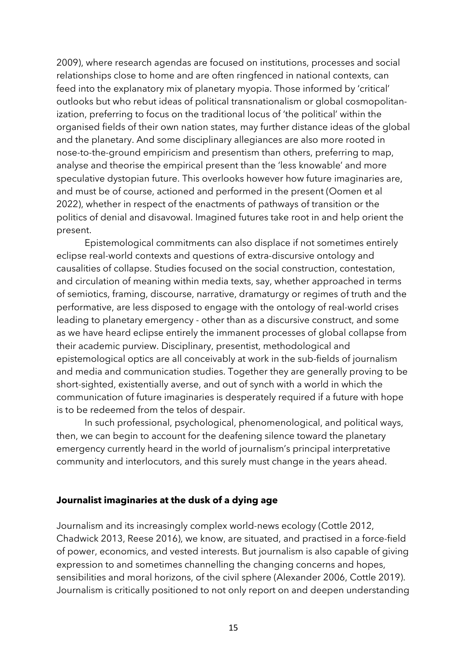2009), where research agendas are focused on institutions, processes and social relationships close to home and are often ringfenced in national contexts, can feed into the explanatory mix of planetary myopia. Those informed by 'critical' outlooks but who rebut ideas of political transnationalism or global cosmopolitanization, preferring to focus on the traditional locus of 'the political' within the organised fields of their own nation states, may further distance ideas of the global and the planetary. And some disciplinary allegiances are also more rooted in nose-to-the-ground empiricism and presentism than others, preferring to map, analyse and theorise the empirical present than the 'less knowable' and more speculative dystopian future. This overlooks however how future imaginaries are, and must be of course, actioned and performed in the present (Oomen et al 2022), whether in respect of the enactments of pathways of transition or the politics of denial and disavowal. Imagined futures take root in and help orient the present.

Epistemological commitments can also displace if not sometimes entirely eclipse real-world contexts and questions of extra-discursive ontology and causalities of collapse. Studies focused on the social construction, contestation, and circulation of meaning within media texts, say, whether approached in terms of semiotics, framing, discourse, narrative, dramaturgy or regimes of truth and the performative, are less disposed to engage with the ontology of real-world crises leading to planetary emergency - other than as a discursive construct, and some as we have heard eclipse entirely the immanent processes of global collapse from their academic purview. Disciplinary, presentist, methodological and epistemological optics are all conceivably at work in the sub-fields of journalism and media and communication studies. Together they are generally proving to be short-sighted, existentially averse, and out of synch with a world in which the communication of future imaginaries is desperately required if a future with hope is to be redeemed from the telos of despair.

In such professional, psychological, phenomenological, and political ways, then, we can begin to account for the deafening silence toward the planetary emergency currently heard in the world of journalism's principal interpretative community and interlocutors, and this surely must change in the years ahead.

## **Journalist imaginaries at the dusk of a dying age**

Journalism and its increasingly complex world-news ecology (Cottle 2012, Chadwick 2013, Reese 2016), we know, are situated, and practised in a force-field of power, economics, and vested interests. But journalism is also capable of giving expression to and sometimes channelling the changing concerns and hopes, sensibilities and moral horizons, of the civil sphere (Alexander 2006, Cottle 2019). Journalism is critically positioned to not only report on and deepen understanding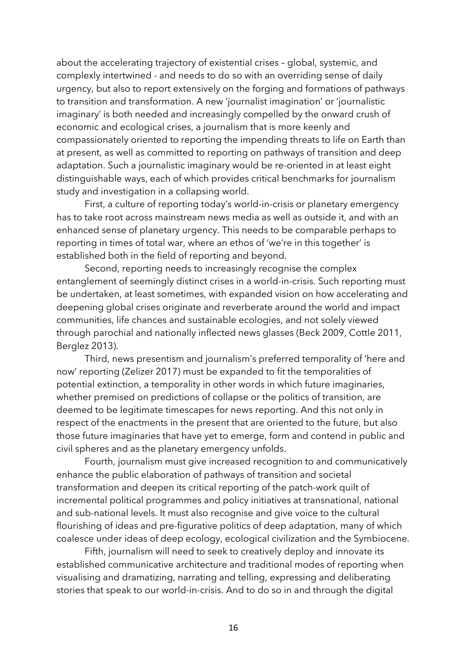about the accelerating trajectory of existential crises – global, systemic, and complexly intertwined - and needs to do so with an overriding sense of daily urgency, but also to report extensively on the forging and formations of pathways to transition and transformation. A new 'journalist imagination' or 'journalistic imaginary' is both needed and increasingly compelled by the onward crush of economic and ecological crises, a journalism that is more keenly and compassionately oriented to reporting the impending threats to life on Earth than at present, as well as committed to reporting on pathways of transition and deep adaptation. Such a journalistic imaginary would be re-oriented in at least eight distinguishable ways, each of which provides critical benchmarks for journalism study and investigation in a collapsing world.

First, a culture of reporting today's world-in-crisis or planetary emergency has to take root across mainstream news media as well as outside it, and with an enhanced sense of planetary urgency. This needs to be comparable perhaps to reporting in times of total war, where an ethos of 'we're in this together' is established both in the field of reporting and beyond.

Second, reporting needs to increasingly recognise the complex entanglement of seemingly distinct crises in a world-in-crisis. Such reporting must be undertaken, at least sometimes, with expanded vision on how accelerating and deepening global crises originate and reverberate around the world and impact communities, life chances and sustainable ecologies, and not solely viewed through parochial and nationally inflected news glasses (Beck 2009, Cottle 2011, Berglez 2013).

Third, news presentism and journalism's preferred temporality of 'here and now' reporting (Zelizer 2017) must be expanded to fit the temporalities of potential extinction, a temporality in other words in which future imaginaries, whether premised on predictions of collapse or the politics of transition, are deemed to be legitimate timescapes for news reporting. And this not only in respect of the enactments in the present that are oriented to the future, but also those future imaginaries that have yet to emerge, form and contend in public and civil spheres and as the planetary emergency unfolds.

Fourth, journalism must give increased recognition to and communicatively enhance the public elaboration of pathways of transition and societal transformation and deepen its critical reporting of the patch-work quilt of incremental political programmes and policy initiatives at transnational, national and sub-national levels. It must also recognise and give voice to the cultural flourishing of ideas and pre-figurative politics of deep adaptation, many of which coalesce under ideas of deep ecology, ecological civilization and the Symbiocene.

Fifth, journalism will need to seek to creatively deploy and innovate its established communicative architecture and traditional modes of reporting when visualising and dramatizing, narrating and telling, expressing and deliberating stories that speak to our world-in-crisis. And to do so in and through the digital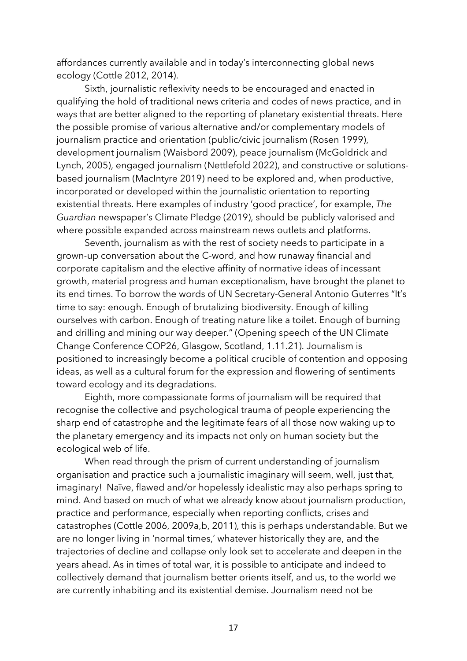affordances currently available and in today's interconnecting global news ecology (Cottle 2012, 2014).

Sixth, journalistic reflexivity needs to be encouraged and enacted in qualifying the hold of traditional news criteria and codes of news practice, and in ways that are better aligned to the reporting of planetary existential threats. Here the possible promise of various alternative and/or complementary models of journalism practice and orientation (public/civic journalism (Rosen 1999), development journalism (Waisbord 2009), peace journalism (McGoldrick and Lynch, 2005), engaged journalism (Nettlefold 2022), and constructive or solutionsbased journalism (MacIntyre 2019) need to be explored and, when productive, incorporated or developed within the journalistic orientation to reporting existential threats. Here examples of industry 'good practice', for example, *The Guardian* newspaper's Climate Pledge (2019), should be publicly valorised and where possible expanded across mainstream news outlets and platforms.

Seventh, journalism as with the rest of society needs to participate in a grown-up conversation about the C-word, and how runaway financial and corporate capitalism and the elective affinity of normative ideas of incessant growth, material progress and human exceptionalism, have brought the planet to its end times. To borrow the words of UN Secretary-General Antonio Guterres "It's time to say: enough. Enough of brutalizing biodiversity. Enough of killing ourselves with carbon. Enough of treating nature like a toilet. Enough of burning and drilling and mining our way deeper." (Opening speech of the UN Climate Change Conference COP26, Glasgow, Scotland, 1.11.21). Journalism is positioned to increasingly become a political crucible of contention and opposing ideas, as well as a cultural forum for the expression and flowering of sentiments toward ecology and its degradations.

Eighth, more compassionate forms of journalism will be required that recognise the collective and psychological trauma of people experiencing the sharp end of catastrophe and the legitimate fears of all those now waking up to the planetary emergency and its impacts not only on human society but the ecological web of life.

When read through the prism of current understanding of journalism organisation and practice such a journalistic imaginary will seem, well, just that, imaginary! Naïve, flawed and/or hopelessly idealistic may also perhaps spring to mind. And based on much of what we already know about journalism production, practice and performance, especially when reporting conflicts, crises and catastrophes (Cottle 2006, 2009a,b, 2011), this is perhaps understandable. But we are no longer living in 'normal times,' whatever historically they are, and the trajectories of decline and collapse only look set to accelerate and deepen in the years ahead. As in times of total war, it is possible to anticipate and indeed to collectively demand that journalism better orients itself, and us, to the world we are currently inhabiting and its existential demise. Journalism need not be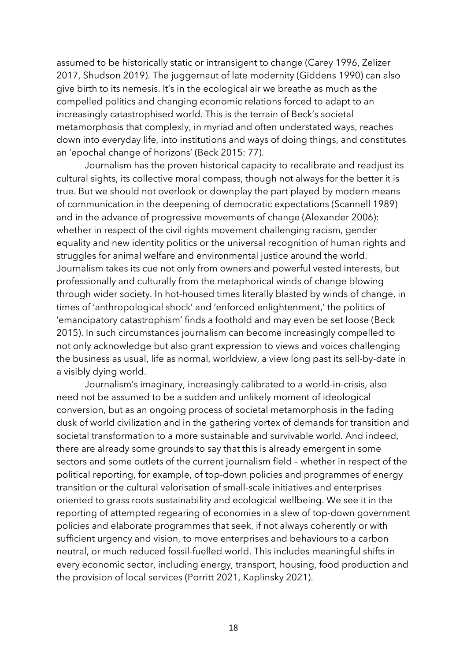assumed to be historically static or intransigent to change (Carey 1996, Zelizer 2017, Shudson 2019). The juggernaut of late modernity (Giddens 1990) can also give birth to its nemesis. It's in the ecological air we breathe as much as the compelled politics and changing economic relations forced to adapt to an increasingly catastrophised world. This is the terrain of Beck's societal metamorphosis that complexly, in myriad and often understated ways, reaches down into everyday life, into institutions and ways of doing things, and constitutes an 'epochal change of horizons' (Beck 2015: 77).

Journalism has the proven historical capacity to recalibrate and readjust its cultural sights, its collective moral compass, though not always for the better it is true. But we should not overlook or downplay the part played by modern means of communication in the deepening of democratic expectations (Scannell 1989) and in the advance of progressive movements of change (Alexander 2006): whether in respect of the civil rights movement challenging racism, gender equality and new identity politics or the universal recognition of human rights and struggles for animal welfare and environmental justice around the world. Journalism takes its cue not only from owners and powerful vested interests, but professionally and culturally from the metaphorical winds of change blowing through wider society. In hot-housed times literally blasted by winds of change, in times of 'anthropological shock' and 'enforced enlightenment,' the politics of 'emancipatory catastrophism' finds a foothold and may even be set loose (Beck 2015). In such circumstances journalism can become increasingly compelled to not only acknowledge but also grant expression to views and voices challenging the business as usual, life as normal, worldview, a view long past its sell-by-date in a visibly dying world.

Journalism's imaginary, increasingly calibrated to a world-in-crisis, also need not be assumed to be a sudden and unlikely moment of ideological conversion, but as an ongoing process of societal metamorphosis in the fading dusk of world civilization and in the gathering vortex of demands for transition and societal transformation to a more sustainable and survivable world. And indeed, there are already some grounds to say that this is already emergent in some sectors and some outlets of the current journalism field – whether in respect of the political reporting, for example, of top-down policies and programmes of energy transition or the cultural valorisation of small-scale initiatives and enterprises oriented to grass roots sustainability and ecological wellbeing. We see it in the reporting of attempted regearing of economies in a slew of top-down government policies and elaborate programmes that seek, if not always coherently or with sufficient urgency and vision, to move enterprises and behaviours to a carbon neutral, or much reduced fossil-fuelled world. This includes meaningful shifts in every economic sector, including energy, transport, housing, food production and the provision of local services (Porritt 2021, Kaplinsky 2021).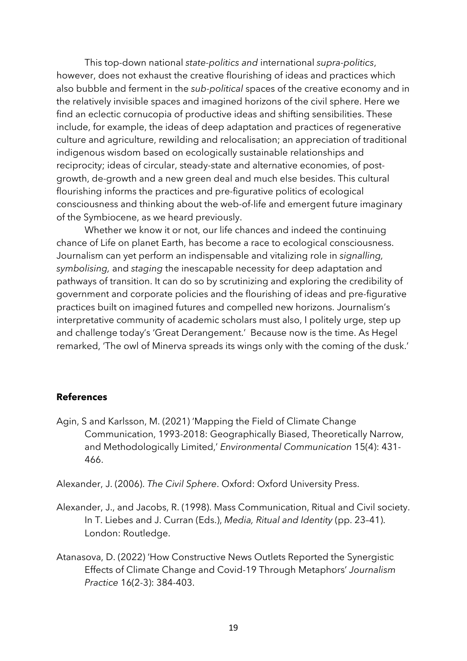This top-down national *state-politics and* international *supra-politics*, however, does not exhaust the creative flourishing of ideas and practices which also bubble and ferment in the *sub-political* spaces of the creative economy and in the relatively invisible spaces and imagined horizons of the civil sphere. Here we find an eclectic cornucopia of productive ideas and shifting sensibilities. These include, for example, the ideas of deep adaptation and practices of regenerative culture and agriculture, rewilding and relocalisation; an appreciation of traditional indigenous wisdom based on ecologically sustainable relationships and reciprocity; ideas of circular, steady-state and alternative economies, of postgrowth, de-growth and a new green deal and much else besides. This cultural flourishing informs the practices and pre-figurative politics of ecological consciousness and thinking about the web-of-life and emergent future imaginary of the Symbiocene, as we heard previously.

Whether we know it or not, our life chances and indeed the continuing chance of Life on planet Earth, has become a race to ecological consciousness. Journalism can yet perform an indispensable and vitalizing role in *signalling, symbolising,* and *staging* the inescapable necessity for deep adaptation and pathways of transition. It can do so by scrutinizing and exploring the credibility of government and corporate policies and the flourishing of ideas and pre-figurative practices built on imagined futures and compelled new horizons. Journalism's interpretative community of academic scholars must also, I politely urge, step up and challenge today's 'Great Derangement.' Because now is the time. As Hegel remarked, 'The owl of Minerva spreads its wings only with the coming of the dusk.'

## **References**

Agin, S and Karlsson, M. (2021) 'Mapping the Field of Climate Change Communication, 1993-2018: Geographically Biased, Theoretically Narrow, and Methodologically Limited,' *Environmental Communication* 15(4): 431- 466.

Alexander, J. (2006). *The Civil Sphere*. Oxford: Oxford University Press.

- Alexander, J., and Jacobs, R. (1998). Mass Communication, Ritual and Civil society. In T. Liebes and J. Curran (Eds.), *Media, Ritual and Identity* (pp. 23–41). London: Routledge.
- Atanasova, D. (2022) 'How Constructive News Outlets Reported the Synergistic Effects of Climate Change and Covid-19 Through Metaphors' *Journalism Practice* 16(2-3): 384-403.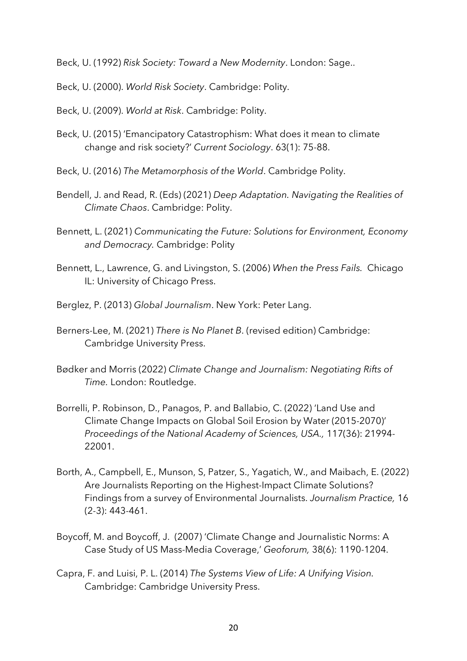Beck, U. (1992) *Risk Society: Toward a New Modernity*. London: Sage..

Beck, U. (2000). *World Risk Society*. Cambridge: Polity.

Beck, U. (2009). *World at Risk*. Cambridge: Polity.

- Beck, U. (2015) 'Emancipatory Catastrophism: What does it mean to climate change and risk society?' *Current Sociology*. 63(1): 75-88.
- Beck, U. (2016) *The Metamorphosis of the World*. Cambridge Polity.
- Bendell, J. and Read, R. (Eds) (2021) *Deep Adaptation. Navigating the Realities of Climate Chaos*. Cambridge: Polity.
- Bennett, L. (2021) *Communicating the Future: Solutions for Environment, Economy and Democracy.* Cambridge: Polity
- Bennett, L., Lawrence, G. and Livingston, S. (2006) *When the Press Fails.* Chicago IL: University of Chicago Press.
- Berglez, P. (2013) *Global Journalism*. New York: Peter Lang.
- Berners-Lee, M. (2021) *There is No Planet B*. (revised edition) Cambridge: Cambridge University Press.
- Bødker and Morris (2022) *Climate Change and Journalism: Negotiating Rifts of Time.* London: Routledge.
- Borrelli, P. Robinson, D., Panagos, P. and Ballabio, C. (2022) 'Land Use and Climate Change Impacts on Global Soil Erosion by Water (2015-2070)' *Proceedings of the National Academy of Sciences, USA.,* 117(36): 21994- 22001.
- Borth, A., Campbell, E., Munson, S, Patzer, S., Yagatich, W., and Maibach, E. (2022) Are Journalists Reporting on the Highest-Impact Climate Solutions? Findings from a survey of Environmental Journalists. *Journalism Practice,* 16 (2-3): 443-461.
- Boycoff, M. and Boycoff, J. (2007) 'Climate Change and Journalistic Norms: A Case Study of US Mass-Media Coverage,' *Geoforum,* 38(6): 1190-1204.
- Capra, F. and Luisi, P. L. (2014) *The Systems View of Life: A Unifying Vision.* Cambridge: Cambridge University Press.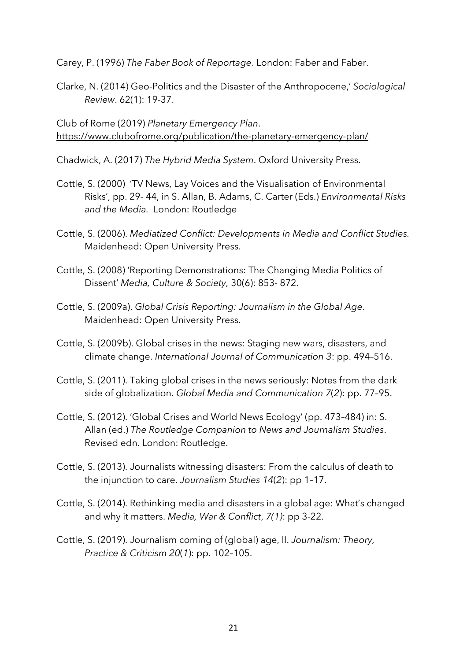Carey, P. (1996) *The Faber Book of Reportage*. London: Faber and Faber.

Clarke, N. (2014) Geo-Politics and the Disaster of the Anthropocene,' *Sociological Review*. 62(1): 19-37.

Club of Rome (2019) *Planetary Emergency Plan*. https://www.clubofrome.org/publication/the-planetary-emergency-plan/

Chadwick, A. (2017) *The Hybrid Media System*. Oxford University Press.

- Cottle, S. (2000) 'TV News, Lay Voices and the Visualisation of Environmental Risks', pp. 29- 44, in S. Allan, B. Adams, C. Carter (Eds.) *Environmental Risks and the Media.* London: Routledge
- Cottle, S. (2006). *Mediatized Conflict: Developments in Media and Conflict Studies.*  Maidenhead: Open University Press.
- Cottle, S. (2008) 'Reporting Demonstrations: The Changing Media Politics of Dissent' *Media, Culture & Society,* 30(6): 853- 872.
- Cottle, S. (2009a). *Global Crisis Reporting: Journalism in the Global Age*. Maidenhead: Open University Press.
- Cottle, S. (2009b). Global crises in the news: Staging new wars, disasters, and climate change. *International Journal of Communication 3*: pp. 494–516.
- Cottle, S. (2011). Taking global crises in the news seriously: Notes from the dark side of globalization. *Global Media and Communication 7*(*2*): pp. 77–95.
- Cottle, S. (2012). 'Global Crises and World News Ecology' (pp. 473–484) in: S. Allan (ed.) *The Routledge Companion to News and Journalism Studies*. Revised edn. London: Routledge.
- Cottle, S. (2013). Journalists witnessing disasters: From the calculus of death to the injunction to care. *Journalism Studies 14*(*2*): pp 1–17.
- Cottle, S. (2014). Rethinking media and disasters in a global age: What's changed and why it matters. *Media, War & Conflict*, *7(1)*: pp 3-22.
- Cottle, S. (2019). Journalism coming of (global) age, II. *Journalism: Theory, Practice & Criticism 20*(*1*): pp. 102–105.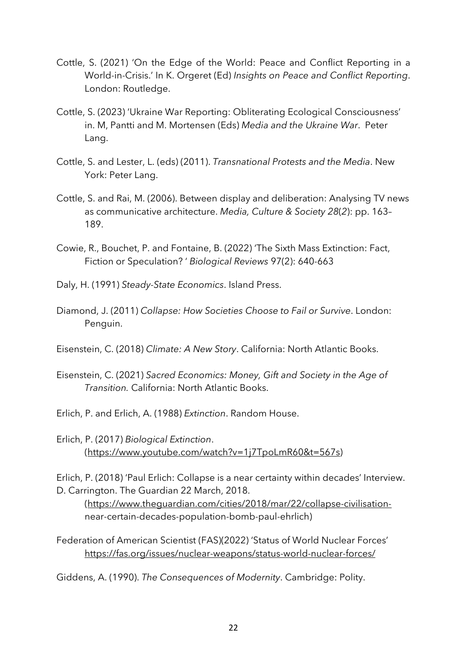- Cottle, S. (2021) 'On the Edge of the World: Peace and Conflict Reporting in a World-in-Crisis.' In K. Orgeret (Ed) *Insights on Peace and Conflict Reporting*. London: Routledge.
- Cottle, S. (2023) 'Ukraine War Reporting: Obliterating Ecological Consciousness' in. M, Pantti and M. Mortensen (Eds) *Media and the Ukraine War*. Peter Lang.
- Cottle, S. and Lester, L. (eds) (2011). *Transnational Protests and the Media*. New York: Peter Lang.
- Cottle, S. and Rai, M. (2006). Between display and deliberation: Analysing TV news as communicative architecture. *Media, Culture & Society 28*(*2*): pp. 163– 189.
- Cowie, R., Bouchet, P. and Fontaine, B. (2022) 'The Sixth Mass Extinction: Fact, Fiction or Speculation? ' *Biological Reviews* 97(2): 640-663
- Daly, H. (1991) *Steady-State Economics*. Island Press.
- Diamond, J. (2011) *Collapse: How Societies Choose to Fail or Survive*. London: Penguin.
- Eisenstein, C. (2018) *Climate: A New Story*. California: North Atlantic Books.
- Eisenstein, C. (2021) *Sacred Economics: Money, Gift and Society in the Age of Transition.* California: North Atlantic Books.
- Erlich, P. and Erlich, A. (1988) *Extinction*. Random House.
- Erlich, P. (2017) *Biological Extinction*. (https://www.youtube.com/watch?v=1j7TpoLmR60&t=567s)

Erlich, P. (2018) 'Paul Erlich: Collapse is a near certainty within decades' Interview. D. Carrington. The Guardian 22 March, 2018.

(https://www.theguardian.com/cities/2018/mar/22/collapse-civilisationnear-certain-decades-population-bomb-paul-ehrlich)

Federation of American Scientist (FAS)(2022) 'Status of World Nuclear Forces' https://fas.org/issues/nuclear-weapons/status-world-nuclear-forces/

Giddens, A. (1990). *The Consequences of Modernity*. Cambridge: Polity.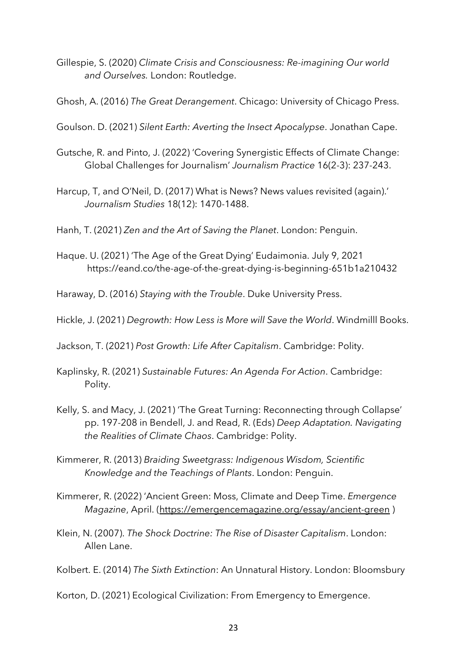- Gillespie, S. (2020) *Climate Crisis and Consciousness: Re-imagining Our world and Ourselves.* London: Routledge.
- Ghosh, A. (2016) *The Great Derangement*. Chicago: University of Chicago Press.
- Goulson. D. (2021) *Silent Earth: Averting the Insect Apocalypse*. Jonathan Cape.
- Gutsche, R. and Pinto, J. (2022) 'Covering Synergistic Effects of Climate Change: Global Challenges for Journalism' *Journalism Practice* 16(2-3): 237-243.
- Harcup, T, and O'Neil, D. (2017) What is News? News values revisited (again).' *Journalism Studies* 18(12): 1470-1488.
- Hanh, T. (2021) *Zen and the Art of Saving the Planet*. London: Penguin.
- Haque. U. (2021) 'The Age of the Great Dying' Eudaimonia. July 9, 2021 https://eand.co/the-age-of-the-great-dying-is-beginning-651b1a210432

Haraway, D. (2016) *Staying with the Trouble*. Duke University Press.

Hickle, J. (2021) *Degrowth: How Less is More will Save the World*. Windmilll Books.

Jackson, T. (2021) *Post Growth: Life After Capitalism*. Cambridge: Polity.

- Kaplinsky, R. (2021) *Sustainable Futures: An Agenda For Action*. Cambridge: Polity.
- Kelly, S. and Macy, J. (2021) 'The Great Turning: Reconnecting through Collapse' pp. 197-208 in Bendell, J. and Read, R. (Eds) *Deep Adaptation. Navigating the Realities of Climate Chaos*. Cambridge: Polity.
- Kimmerer, R. (2013) *Braiding Sweetgrass: Indigenous Wisdom, Scientific Knowledge and the Teachings of Plants*. London: Penguin.
- Kimmerer, R. (2022) 'Ancient Green: Moss, Climate and Deep Time. *Emergence Magazine*, April. (https://emergencemagazine.org/essay/ancient-green )
- Klein, N. (2007). *The Shock Doctrine: The Rise of Disaster Capitalism*. London: Allen Lane.
- Kolbert. E. (2014) *The Sixth Extinction*: An Unnatural History. London: Bloomsbury
- Korton, D. (2021) Ecological Civilization: From Emergency to Emergence.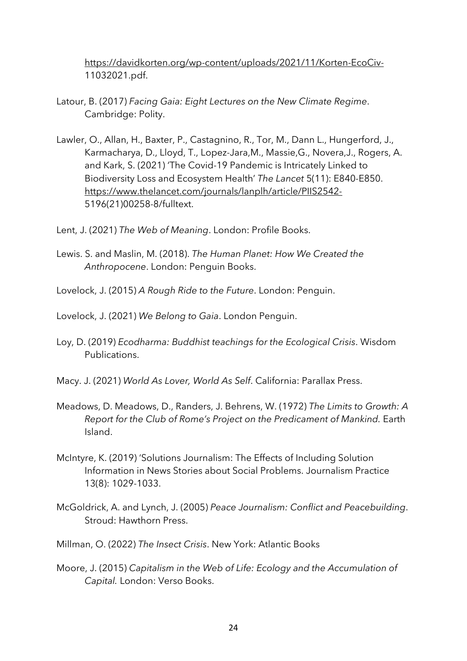https://davidkorten.org/wp-content/uploads/2021/11/Korten-EcoCiv-11032021.pdf.

- Latour, B. (2017) *Facing Gaia: Eight Lectures on the New Climate Regime*. Cambridge: Polity.
- Lawler, O., Allan, H., Baxter, P., Castagnino, R., Tor, M., Dann L., Hungerford, J., Karmacharya, D., Lloyd, T., Lopez-Jara,M., Massie,G., Novera,J., Rogers, A. and Kark, S. (2021) 'The Covid-19 Pandemic is Intricately Linked to Biodiversity Loss and Ecosystem Health' *The Lancet* 5(11): E840-E850. https://www.thelancet.com/journals/lanplh/article/PIIS2542- 5196(21)00258-8/fulltext.
- Lent, J. (2021) *The Web of Meaning*. London: Profile Books.
- Lewis. S. and Maslin, M. (2018). *The Human Planet: How We Created the Anthropocene*. London: Penguin Books.
- Lovelock, J. (2015) *A Rough Ride to the Future*. London: Penguin.
- Lovelock, J. (2021) *We Belong to Gaia*. London Penguin.
- Loy, D. (2019) *Ecodharma: Buddhist teachings for the Ecological Crisis*. Wisdom Publications.
- Macy. J. (2021) *World As Lover, World As Self*. California: Parallax Press.
- Meadows, D. Meadows, D., Randers, J. Behrens, W. (1972) *The Limits to Growth: A Report for the Club of Rome's Project on the Predicament of Mankind.* Earth Island.
- McIntyre, K. (2019) 'Solutions Journalism: The Effects of Including Solution Information in News Stories about Social Problems. Journalism Practice 13(8): 1029-1033.
- McGoldrick, A. and Lynch, J. (2005) *Peace Journalism: Conflict and Peacebuilding*. Stroud: Hawthorn Press.
- Millman, O. (2022) *The Insect Crisis*. New York: Atlantic Books
- Moore, J. (2015) *Capitalism in the Web of Life: Ecology and the Accumulation of Capital.* London: Verso Books.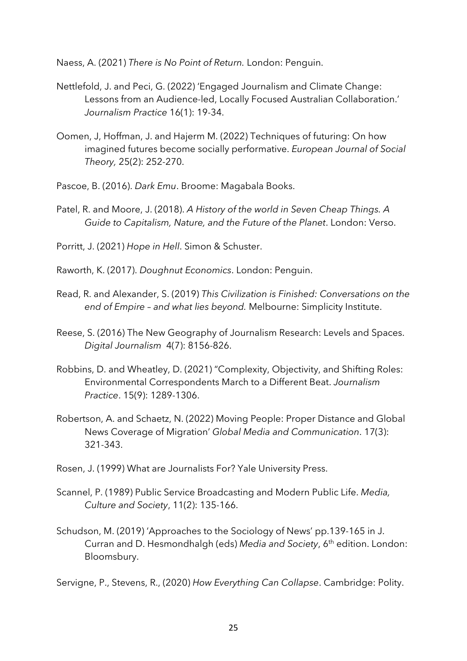Naess, A. (2021) *There is No Point of Return.* London: Penguin.

- Nettlefold, J. and Peci, G. (2022) 'Engaged Journalism and Climate Change: Lessons from an Audience-led, Locally Focused Australian Collaboration.' *Journalism Practice* 16(1): 19-34.
- Oomen, J, Hoffman, J. and Hajerm M. (2022) Techniques of futuring: On how imagined futures become socially performative. *European Journal of Social Theory,* 25(2): 252-270.
- Pascoe, B. (2016). *Dark Emu*. Broome: Magabala Books.
- Patel, R. and Moore, J. (2018). *A History of the world in Seven Cheap Things. A Guide to Capitalism, Nature, and the Future of the Planet*. London: Verso.
- Porritt, J. (2021) *Hope in Hell*. Simon & Schuster.
- Raworth, K. (2017). *Doughnut Economics*. London: Penguin.
- Read, R. and Alexander, S. (2019) *This Civilization is Finished: Conversations on the end of Empire – and what lies beyond.* Melbourne: Simplicity Institute.
- Reese, S. (2016) The New Geography of Journalism Research: Levels and Spaces. *Digital Journalism* 4(7): 8156-826.
- Robbins, D. and Wheatley, D. (2021) "Complexity, Objectivity, and Shifting Roles: Environmental Correspondents March to a Different Beat. *Journalism Practice*. 15(9): 1289-1306.
- Robertson, A. and Schaetz, N. (2022) Moving People: Proper Distance and Global News Coverage of Migration' *Global Media and Communication*. 17(3): 321-343.
- Rosen, J. (1999) What are Journalists For? Yale University Press.
- Scannel, P. (1989) Public Service Broadcasting and Modern Public Life. *Media, Culture and Society*, 11(2): 135-166.
- Schudson, M. (2019) 'Approaches to the Sociology of News' pp.139-165 in J. Curran and D. Hesmondhalgh (eds) *Media and Society*, 6th edition. London: Bloomsbury.

Servigne, P., Stevens, R., (2020) *How Everything Can Collapse*. Cambridge: Polity.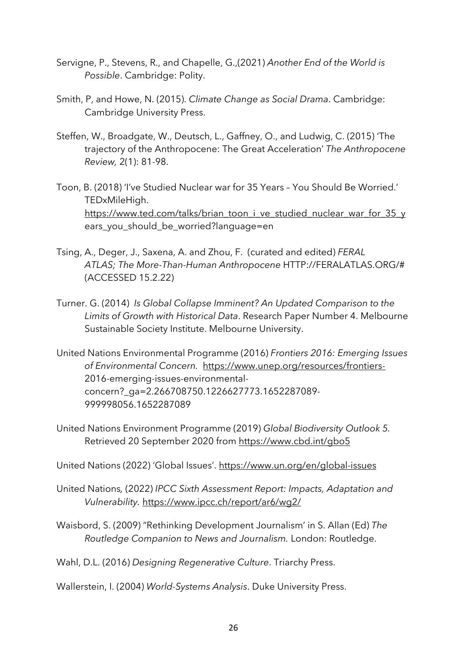- Servigne, P., Stevens, R., and Chapelle, G.,(2021) *Another End of the World is Possible*. Cambridge: Polity.
- Smith, P, and Howe, N. (2015). *Climate Change as Social Drama*. Cambridge: Cambridge University Press.
- Steffen, W., Broadgate, W., Deutsch, L., Gaffney, O., and Ludwig, C. (2015) 'The trajectory of the Anthropocene: The Great Acceleration' *The Anthropocene Review,* 2(1): 81-98.
- Toon, B. (2018) 'I've Studied Nuclear war for 35 Years You Should Be Worried.' TEDxMileHigh. https://www.ted.com/talks/brian\_toon\_i\_ve\_studied\_nuclear\_war\_for\_35\_y ears\_you\_should\_be\_worried?language=en
- Tsing, A., Deger, J., Saxena, A. and Zhou, F. (curated and edited) *FERAL ATLAS; The More-Than-Human Anthropocene* HTTP://FERALATLAS.ORG/# (ACCESSED 15.2.22)
- Turner. G. (2014) *Is Global Collapse Imminent? An Updated Comparison to the Limits of Growth with Historical Data*. Research Paper Number 4. Melbourne Sustainable Society Institute. Melbourne University.
- United Nations Environmental Programme (2016) *Frontiers 2016: Emerging Issues of Environmental Concern.* https://www.unep.org/resources/frontiers-2016-emerging-issues-environmentalconcern?\_ga=2.266708750.1226627773.1652287089- 999998056.1652287089
- United Nations Environment Programme (2019) *Global Biodiversity Outlook 5.*  Retrieved 20 September 2020 from https://www.cbd.int/gbo5

United Nations (2022) 'Global Issues'. https://www.un.org/en/global-issues

- United Nations*,* (2022) *IPCC Sixth Assessment Report: Impacts, Adaptation and Vulnerability.* https://www.ipcc.ch/report/ar6/wg2/
- Waisbord, S. (2009) "Rethinking Development Journalism' in S. Allan (Ed) *The Routledge Companion to News and Journalism.* London: Routledge.

Wahl, D.L. (2016) *Designing Regenerative Culture*. Triarchy Press.

Wallerstein, I. (2004) *World-Systems Analysis*. Duke University Press.